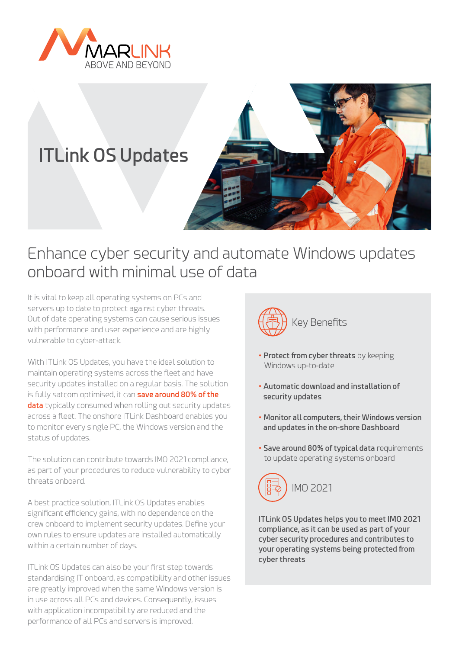

# **ITLink OS Updates**



## Enhance cyber security and automate Windows updates onboard with minimal use of data

It is vital to keep all operating systems on PCs and servers up to date to protect against cyber threats. Out of date operating systems can cause serious issues with performance and user experience and are highly vulnerable to cyber-attack.

With ITLink OS Updates, you have the ideal solution to maintain operating systems across the fleet and have security updates installed on a regular basis. The solution is fully satcom optimised, it can **save around 80% of the data** typically consumed when rolling out security updates across a fleet. The onshore ITLink Dashboard enables you to monitor every single PC, the Windows version and the status of updates.

The solution can contribute towards IMO 2021 compliance, as part of your procedures to reduce vulnerability to cyber threats onboard.

A best practice solution, ITLink OS Updates enables significant efficiency gains, with no dependence on the crew onboard to implement security updates. Define your own rules to ensure updates are installed automatically within a certain number of days.

ITLink OS Updates can also be your first step towards standardising IT onboard, as compatibility and other issues are greatly improved when the same Windows version is in use across all PCs and devices. Consequently, issues with application incompatibility are reduced and the performance of all PCs and servers is improved.



- **Protect from cyber threats** by keeping Windows up-to-date
- **Automatic download and installation of security updates**
- **Monitor all computers, their Windows version and updates in the on-shore Dashboard**
- **Save around 80% of typical data** requirements to update operating systems onboard



**ITLink OS Updates helps you to meet IMO 2021 compliance, as it can be used as part of your cyber security procedures and contributes to your operating systems being protected from cyber threats**